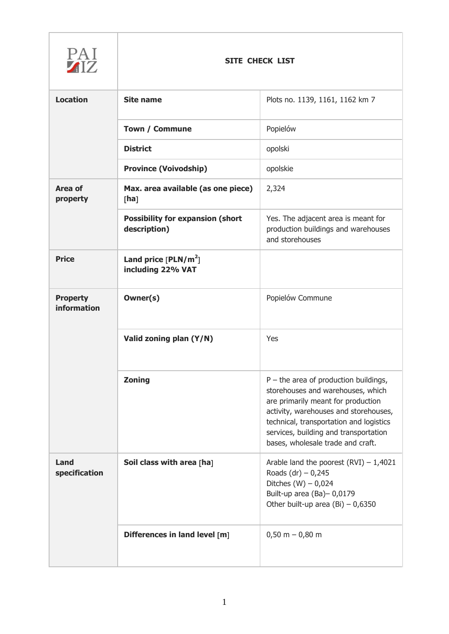| PAI<br><b>AIZ</b>              | <b>SITE CHECK LIST</b>                                  |                                                                                                                                                                                                                                                                                      |
|--------------------------------|---------------------------------------------------------|--------------------------------------------------------------------------------------------------------------------------------------------------------------------------------------------------------------------------------------------------------------------------------------|
| <b>Location</b>                | <b>Site name</b>                                        | Plots no. 1139, 1161, 1162 km 7                                                                                                                                                                                                                                                      |
|                                | <b>Town / Commune</b>                                   | Popielów                                                                                                                                                                                                                                                                             |
|                                | <b>District</b>                                         | opolski                                                                                                                                                                                                                                                                              |
|                                | <b>Province (Voivodship)</b>                            | opolskie                                                                                                                                                                                                                                                                             |
| Area of<br>property            | Max. area available (as one piece)<br>[ha]              | 2,324                                                                                                                                                                                                                                                                                |
|                                | <b>Possibility for expansion (short</b><br>description) | Yes. The adjacent area is meant for<br>production buildings and warehouses<br>and storehouses                                                                                                                                                                                        |
| <b>Price</b>                   | Land price $[PLN/m^2]$<br>including 22% VAT             |                                                                                                                                                                                                                                                                                      |
| <b>Property</b><br>information | Owner(s)                                                | Popielów Commune                                                                                                                                                                                                                                                                     |
|                                | Valid zoning plan (Y/N)                                 | Yes                                                                                                                                                                                                                                                                                  |
|                                | <b>Zoning</b>                                           | $P$ – the area of production buildings,<br>storehouses and warehouses, which<br>are primarily meant for production<br>activity, warehouses and storehouses,<br>technical, transportation and logistics<br>services, building and transportation<br>bases, wholesale trade and craft. |
| Land<br>specification          | Soil class with area [ha]                               | Arable land the poorest $(RVI) - 1,4021$<br>Roads $(dr) - 0,245$<br>Ditches $(W) - 0,024$<br>Built-up area (Ba)-0,0179<br>Other built-up area (Bi) $-0,6350$                                                                                                                         |
|                                | Differences in land level [m]                           | $0,50 m - 0,80 m$                                                                                                                                                                                                                                                                    |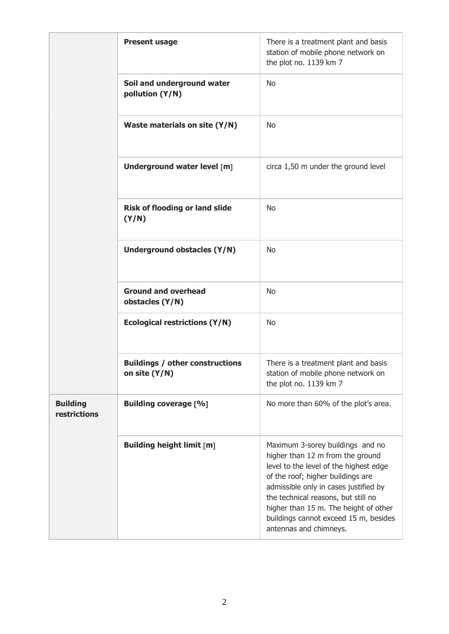|                                 | <b>Present usage</b>                                    | There is a treatment plant and basis<br>station of mobile phone network on<br>the plot no. 1139 km 7                                                                                                                                                                                                                                            |
|---------------------------------|---------------------------------------------------------|-------------------------------------------------------------------------------------------------------------------------------------------------------------------------------------------------------------------------------------------------------------------------------------------------------------------------------------------------|
|                                 | Soil and underground water<br>pollution (Y/N)           | <b>No</b>                                                                                                                                                                                                                                                                                                                                       |
|                                 | Waste materials on site (Y/N)                           | <b>No</b>                                                                                                                                                                                                                                                                                                                                       |
|                                 | Underground water level [m]                             | circa 1,50 m under the ground level                                                                                                                                                                                                                                                                                                             |
|                                 | <b>Risk of flooding or land slide</b><br>(Y/N)          | <b>No</b>                                                                                                                                                                                                                                                                                                                                       |
|                                 | Underground obstacles (Y/N)                             | No                                                                                                                                                                                                                                                                                                                                              |
|                                 | <b>Ground and overhead</b><br>obstacles (Y/N)           | <b>No</b>                                                                                                                                                                                                                                                                                                                                       |
|                                 | <b>Ecological restrictions (Y/N)</b>                    | <b>No</b>                                                                                                                                                                                                                                                                                                                                       |
|                                 | <b>Buildings / other constructions</b><br>on site (Y/N) | There is a treatment plant and basis<br>station of mobile phone network on<br>the plot no. 1139 km 7                                                                                                                                                                                                                                            |
| <b>Building</b><br>restrictions | <b>Building coverage [%]</b>                            | No more than 60% of the plot's area.                                                                                                                                                                                                                                                                                                            |
|                                 | <b>Building height limit [m]</b>                        | Maximum 3-sorey buildings and no<br>higher than 12 m from the ground<br>level to the level of the highest edge<br>of the roof; higher buildings are<br>admissible only in cases justified by<br>the technical reasons, but still no<br>higher than 15 m. The height of other<br>buildings cannot exceed 15 m, besides<br>antennas and chimneys. |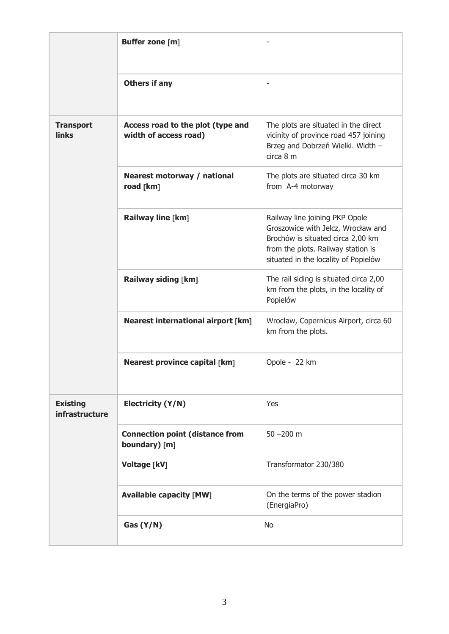|                                   | <b>Buffer zone [m]</b>                                     | ۰                                                                                                                                                                                       |
|-----------------------------------|------------------------------------------------------------|-----------------------------------------------------------------------------------------------------------------------------------------------------------------------------------------|
|                                   | <b>Others if any</b>                                       |                                                                                                                                                                                         |
| <b>Transport</b><br><b>links</b>  | Access road to the plot (type and<br>width of access road) | The plots are situated in the direct<br>vicinity of province road 457 joining<br>Brzeg and Dobrzeń Wielki. Width -<br>circa 8 m                                                         |
|                                   | Nearest motorway / national<br>road [km]                   | The plots are situated circa 30 km<br>from A-4 motorway                                                                                                                                 |
|                                   | Railway line [km]                                          | Railway line joining PKP Opole<br>Groszowice with Jelcz, Wrocław and<br>Brochów is situated circa 2,00 km<br>from the plots. Railway station is<br>situated in the locality of Popielów |
|                                   | Railway siding [km]                                        | The rail siding is situated circa 2,00<br>km from the plots, in the locality of<br>Popielów                                                                                             |
|                                   | <b>Nearest international airport [km]</b>                  | Wrocław, Copernicus Airport, circa 60<br>km from the plots.                                                                                                                             |
|                                   | <b>Nearest province capital [km]</b>                       | Opole - 22 km                                                                                                                                                                           |
| <b>Existing</b><br>infrastructure | <b>Electricity (Y/N)</b>                                   | Yes                                                                                                                                                                                     |
|                                   | <b>Connection point (distance from</b><br>boundary) [m]    | $50 - 200$ m                                                                                                                                                                            |
|                                   | Voltage [kV]                                               | Transformator 230/380                                                                                                                                                                   |
|                                   | <b>Available capacity [MW]</b>                             | On the terms of the power stadion<br>(EnergiaPro)                                                                                                                                       |
|                                   | Gas (Y/N)                                                  | <b>No</b>                                                                                                                                                                               |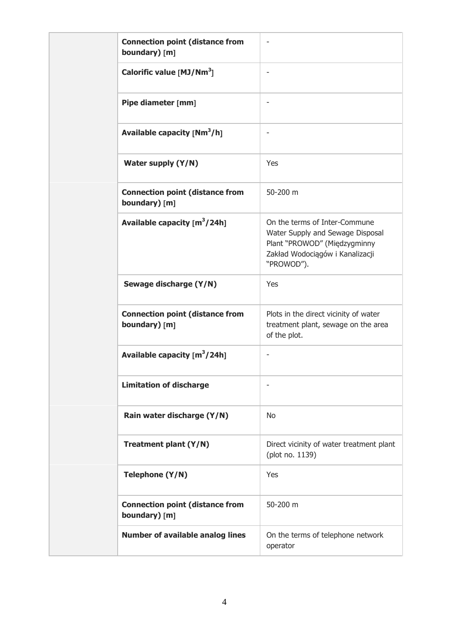| <b>Connection point (distance from</b><br>boundary) [m] |                                                                                                                                                    |
|---------------------------------------------------------|----------------------------------------------------------------------------------------------------------------------------------------------------|
| Calorific value $[MJ/Mm3]$                              |                                                                                                                                                    |
| Pipe diameter [mm]                                      |                                                                                                                                                    |
| Available capacity $[Nm^3/h]$                           |                                                                                                                                                    |
| Water supply (Y/N)                                      | Yes                                                                                                                                                |
| <b>Connection point (distance from</b><br>boundary) [m] | 50-200 m                                                                                                                                           |
| Available capacity $[m^3/24h]$                          | On the terms of Inter-Commune<br>Water Supply and Sewage Disposal<br>Plant "PROWOD" (Międzygminny<br>Zakład Wodociągów i Kanalizacji<br>"PROWOD"). |
| Sewage discharge (Y/N)                                  | Yes                                                                                                                                                |
| <b>Connection point (distance from</b><br>boundary) [m] | Plots in the direct vicinity of water<br>treatment plant, sewage on the area<br>of the plot.                                                       |
| Available capacity $[m^3/24h]$                          |                                                                                                                                                    |
| <b>Limitation of discharge</b>                          |                                                                                                                                                    |
| Rain water discharge (Y/N)                              | <b>No</b>                                                                                                                                          |
| Treatment plant (Y/N)                                   | Direct vicinity of water treatment plant<br>(plot no. 1139)                                                                                        |
| Telephone (Y/N)                                         | Yes                                                                                                                                                |
| <b>Connection point (distance from</b><br>boundary) [m] | 50-200 m                                                                                                                                           |
| <b>Number of available analog lines</b>                 | On the terms of telephone network<br>operator                                                                                                      |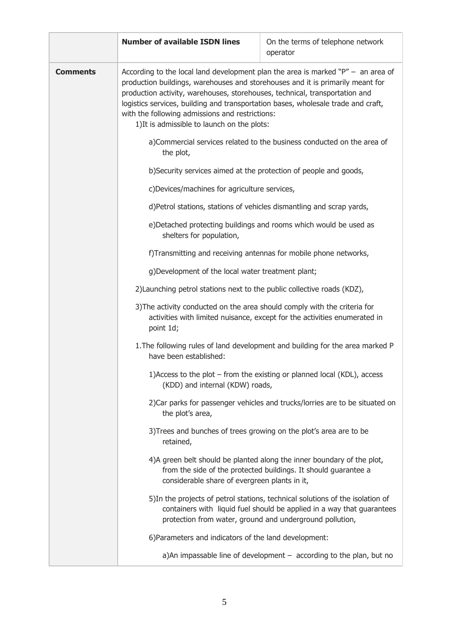|                 | <b>Number of available ISDN lines</b>                                                                                                                                                                                                                                                                                                                                                                                                                                                                                               | On the terms of telephone network<br>operator                                                                                                            |
|-----------------|-------------------------------------------------------------------------------------------------------------------------------------------------------------------------------------------------------------------------------------------------------------------------------------------------------------------------------------------------------------------------------------------------------------------------------------------------------------------------------------------------------------------------------------|----------------------------------------------------------------------------------------------------------------------------------------------------------|
| <b>Comments</b> | According to the local land development plan the area is marked " $P'' -$ an area of<br>production buildings, warehouses and storehouses and it is primarily meant for<br>production activity, warehouses, storehouses, technical, transportation and<br>logistics services, building and transportation bases, wholesale trade and craft,<br>with the following admissions and restrictions:<br>1) It is admissible to launch on the plots:<br>a)Commercial services related to the business conducted on the area of<br>the plot, |                                                                                                                                                          |
|                 |                                                                                                                                                                                                                                                                                                                                                                                                                                                                                                                                     |                                                                                                                                                          |
|                 | b) Security services aimed at the protection of people and goods,                                                                                                                                                                                                                                                                                                                                                                                                                                                                   |                                                                                                                                                          |
|                 | c)Devices/machines for agriculture services,<br>d)Petrol stations, stations of vehicles dismantling and scrap yards,<br>e)Detached protecting buildings and rooms which would be used as<br>shelters for population,                                                                                                                                                                                                                                                                                                                |                                                                                                                                                          |
|                 |                                                                                                                                                                                                                                                                                                                                                                                                                                                                                                                                     |                                                                                                                                                          |
|                 |                                                                                                                                                                                                                                                                                                                                                                                                                                                                                                                                     |                                                                                                                                                          |
|                 | f)Transmitting and receiving antennas for mobile phone networks,                                                                                                                                                                                                                                                                                                                                                                                                                                                                    |                                                                                                                                                          |
|                 | g)Development of the local water treatment plant;<br>2) Launching petrol stations next to the public collective roads (KDZ),<br>3) The activity conducted on the area should comply with the criteria for<br>activities with limited nuisance, except for the activities enumerated in<br>point 1d;<br>1. The following rules of land development and building for the area marked P<br>have been established:                                                                                                                      |                                                                                                                                                          |
|                 |                                                                                                                                                                                                                                                                                                                                                                                                                                                                                                                                     |                                                                                                                                                          |
|                 |                                                                                                                                                                                                                                                                                                                                                                                                                                                                                                                                     |                                                                                                                                                          |
|                 |                                                                                                                                                                                                                                                                                                                                                                                                                                                                                                                                     |                                                                                                                                                          |
|                 | (KDD) and internal (KDW) roads,                                                                                                                                                                                                                                                                                                                                                                                                                                                                                                     | 1) Access to the plot – from the existing or planned local (KDL), access                                                                                 |
|                 | the plot's area,                                                                                                                                                                                                                                                                                                                                                                                                                                                                                                                    | 2) Car parks for passenger vehicles and trucks/lorries are to be situated on                                                                             |
|                 | 3) Trees and bunches of trees growing on the plot's area are to be<br>retained,                                                                                                                                                                                                                                                                                                                                                                                                                                                     |                                                                                                                                                          |
|                 | considerable share of evergreen plants in it,                                                                                                                                                                                                                                                                                                                                                                                                                                                                                       | 4)A green belt should be planted along the inner boundary of the plot,<br>from the side of the protected buildings. It should guarantee a                |
|                 | protection from water, ground and underground pollution,                                                                                                                                                                                                                                                                                                                                                                                                                                                                            | 5) In the projects of petrol stations, technical solutions of the isolation of<br>containers with liquid fuel should be applied in a way that guarantees |
|                 | 6) Parameters and indicators of the land development:                                                                                                                                                                                                                                                                                                                                                                                                                                                                               |                                                                                                                                                          |
|                 |                                                                                                                                                                                                                                                                                                                                                                                                                                                                                                                                     | a)An impassable line of development $-$ according to the plan, but no                                                                                    |